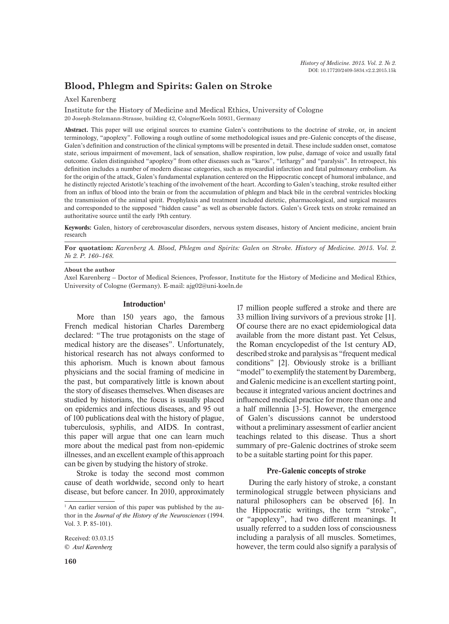# **Blood, Phlegm and Spirits: Galen on Stroke**

# Axel Karenberg

Institute for the History of Medicine and Medical Ethics, University of Cologne 20 Joseph-Stelzmann-Strasse, building 42, Cologne/Koeln 50931, Germany

**Abstract.** This paper will use original sources to examine Galen's contributions to the doctrine of stroke, or, in ancient terminology, "apoplexy". Following a rough outline of some methodological issues and pre-Galenic concepts of the disease, Galen's definition and construction of the clinical symptoms will be presented in detail. These include sudden onset, comatose state, serious impairment of movement, lack of sensation, shallow respiration, low pulse, damage of voice and usually fatal outcome. Galen distinguished "apoplexy" from other diseases such as "karos", "lethargy" and "paralysis". In retrospect, his definition includes a number of modern disease categories, such as myocardial infarction and fatal pulmonary embolism. As for the origin of the attack, Galen's fundamental explanation centered on the Hippocratic concept of humoral imbalance, and he distinctly rejected Aristotle's teaching of the involvement of the heart. According to Galen's teaching, stroke resulted either from an influx of blood into the brain or from the accumulation of phlegm and black bile in the cerebral ventricles blocking the transmission of the animal spirit. Prophylaxis and treatment included dietetic, pharmacological, and surgical measures and corresponded to the supposed "hidden cause" as well as observable factors. Galen's Greek texts on stroke remained an authoritative source until the early 19th century.

**Keywords:** Galen, history of cerebrovascular disorders, nervous system diseases, history of Ancient medicine, ancient brain research

**For quotation:** *Karenberg А. Blood, Phlegm and Spirits: Galen on Stroke. History of Medicine. 2015. Vol. 2. № 2. P. 160–168.*

#### **About the author**

Axel Karenberg – Doctor of Medical Sciences, Professor, Institute for the History of Medicine and Medical Ethics, University of Cologne (Germany). E-mail: ajg02@uni-koeln.de

### **Introduction1**

More than 150 years ago, the famous French medical historian Charles Daremberg declared: "The true protagonists on the stage of medical history are the diseases". Unfortunately, historical research has not always conformed to this aphorism. Much is known about famous physicians and the social framing of medicine in the past, but comparatively little is known about the story of diseases themselves. When diseases are studied by historians, the focus is usually placed on epidemics and infectious diseases, and 95 out of 100 publications deal with the history of plague, tuberculosis, syphilis, and AIDS. In contrast, this paper will argue that one can learn much more about the medical past from non-epidemic illnesses, and an excellent example of this approach can be given by studying the history of stroke.

Stroke is today the second most common cause of death worldwide, second only to heart disease, but before cancer. In 2010, approximately

Received: 03.03.15 © *Axel Karenberg*

17 million people suffered a stroke and there are 33 million living survivors of a previous stroke [1]. Of course there are no exact epidemiological data available from the more distant past. Yet Celsus, the Roman encyclopedist of the 1st century AD, described stroke and paralysis as "frequent medical conditions" [2]. Obviously stroke is a brilliant "model" to exemplify the statement by Daremberg, and Galenic medicine is an excellent starting point, because it integrated various ancient doctrines and influenced medical practice for more than one and a half millennia [3-5]. However, the emergence of Galen's discussions cannot be understood without a preliminary assessment of earlier ancient teachings related to this disease. Thus a short summary of pre-Galenic doctrines of stroke seem to be a suitable starting point for this paper.

### **Pre-Galenic concepts of stroke**

During the early history of stroke, a constant terminological struggle between physicians and natural philosophers can be observed [6]. In the Hippocratic writings, the term "stroke", or "apoplexy", had two different meanings. It usually referred to a sudden loss of consciousness including a paralysis of all muscles. Sometimes, however, the term could also signify a paralysis of

<sup>&</sup>lt;sup>1</sup> An earlier version of this paper was published by the author in the *Journal of the History of the Neurosciences* (1994. Vol. 3. P. 85-101).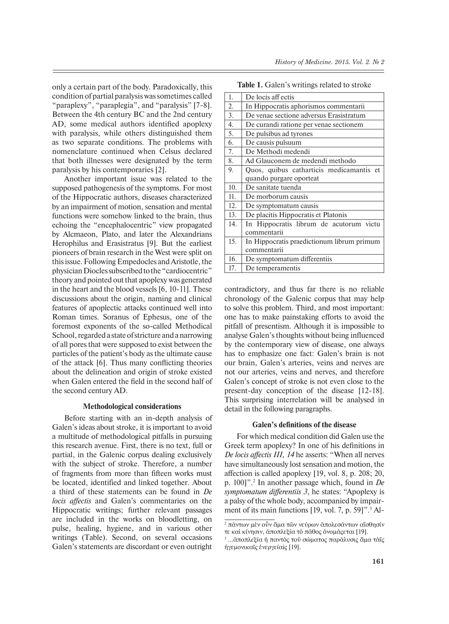only a certain part of the body. Paradoxically, this condition of partial paralysis was sometimes called "paraplexy", "paraplegia", and "paralysis" [7-8]. Between the 4th century BC and the 2nd century AD, some medical authors identified apoplexy with paralysis, while others distinguished them as two separate conditions. The problems with nomenclature continued when Celsus declared that both illnesses were designated by the term paralysis by his contemporaries [2].

Another important issue was related to the supposed pathogenesis of the symptoms. For most of the Hippocratic authors, diseases characterized by an impairment of motion, sensation and mental functions were somehow linked to the brain, thus echoing the "encephalocentric" view propagated by Alcmaeon, Plato, and later the Alexandrians Herophilus and Erasistratus [9]. But the earliest pioneers of brain research in the West were split on this issue. Following Empedocles and Aristotle, the physician Diocles subscribed to the "cardiocentric" theory and pointed out that apoplexy was generated in the heart and the blood vessels [6, 10-11]. These discussions about the origin, naming and clinical features of apoplectic attacks continued well into Roman times. Soranus of Ephesus, one of the foremost exponents of the so-called Methodical School, regarded a state of stricture and a narrowing of all pores that were supposed to exist between the particles of the patient's body as the ultimate cause of the attack  $[6]$ . Thus many conflicting theories about the delineation and origin of stroke existed when Galen entered the field in the second half of the second century AD.

# **Methodological considerations**

Before starting with an in-depth analysis of Galen's ideas about stroke, it is important to avoid a multitude of methodological pitfalls in pursuing this research avenue. First, there is no text, full or partial, in the Galenic corpus dealing exclusively with the subject of stroke. Therefore, a number of fragments from more than fifteen works must be located, identified and linked together. About a third of these statements can be found in *De locis affectis* and Galen's commentaries on the Hippocratic writings; further relevant passages are included in the works on bloodletting, on pulse, healing, hygiene, and in various other writings (Table). Second, on several occasions Galen's statements are discordant or even outright

| 1.  | De locis aff ectis                         |
|-----|--------------------------------------------|
| 2.  | In Hippocratis aphorismos commentarii      |
| 3.  | De venae sectione adversus Erasistratum    |
| 4.  | De curandi ratione per venae sectionem     |
| 5.  | De pulsibus ad tyrones                     |
| 6.  | De causis pulsuum                          |
| 7.  | De Methodi medendi                         |
| 8.  | Ad Glauconem de medendi methodo            |
| 9.  | Quos, quibus catharticis medicamantis et   |
|     | quando purgare oporteat                    |
| 10. | De sanitate tuenda                         |
| 11. | De morborum causis                         |
| 12. | De symptomatum causis                      |
| 13. | De placitis Hippocratis et Platonis        |
| 14. | In Hippocratis librum de acutorum victu    |
|     | commentarii                                |
| 15. | In Hippocratis praedictionum librum primum |
|     | commentarii                                |
| 16. | De symptomatum differentiis                |
| 17. | De temperamentis                           |

**Table 1.** Galen's writings related to stroke

contradictory, and thus far there is no reliable chronology of the Galenic corpus that may help to solve this problem. Third, and most important: one has to make painstaking efforts to avoid the pitfall of presentism. Although it is impossible to analyse Galen's thoughts without being influenced by the contemporary view of disease, one always has to emphasize one fact: Galen's brain is not our brain, Galen's arteries, veins and nerves are not our arteries, veins and nerves, and therefore Galen's concept of stroke is not even close to the present-day conception of the disease [12-18]. This surprising interrelation will be analysed in detail in the following paragraphs.

## **Galen's definitions of the disease**

For which medical condition did Galen use the Greek term apoplexy? In one of his definitions in *De locis affectis III, 14* he asserts: "When all nerves have simultaneously lost sensation and motion, the affection is called apoplexy  $[19, \text{vol. } 8, \text{p. } 208; 20,$ p. 100]".2 In another passage which, found in *De symptomatum differentiis 3*, he states: "Apoplexy is a palsy of the whole body, accompanied by impairment of its main functions [19, vol. 7, p. 59]".<sup>3</sup> Al-

<sup>&</sup>lt;sup>2</sup> πάντων μὲν οἶν ἅμα τῶν νεύρων ἀπολεσάντων αἲσθησίν τε και κίνησιν, αποπλεξία το πάθος ονομάςεται [19].

<sup>&</sup>lt;sup>3</sup> ...άποπλεξία ή παντὸς τοῦ σώματος παράλυσις ἄμα τὰῖς ήγεμονικαΐς ένεργείαiς [19].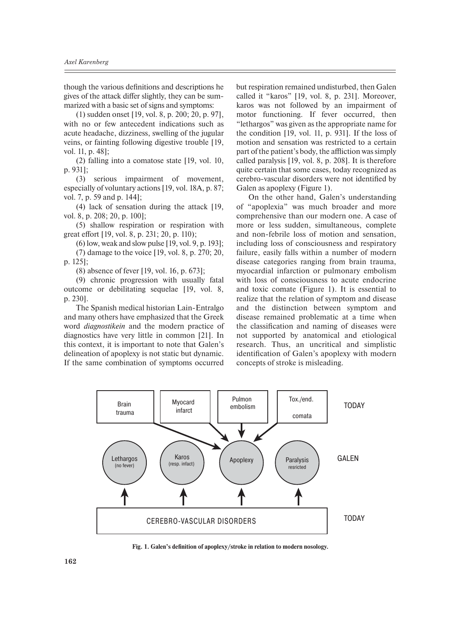though the various definitions and descriptions he gives of the attack differ slightly, they can be summarized with a basic set of signs and symptoms:

(1) sudden onset [19, vol. 8, p. 200; 20, p. 97], with no or few antecedent indications such as acute headache, dizziness, swelling of the jugular veins, or fainting following digestive trouble [19, vol. 11, p. 48];

(2) falling into a comatose state [19, vol. 10, p. 931];

(3) serious impairment of movement, especially of voluntary actions [19, vol. 18A, p. 87; vol. 7, p. 59 and p. 144];

(4) lack of sensation during the attack [19, vol. 8, p. 208; 20, p. 100];

(5) shallow respiration or respiration with great effort [19, vol. 8, p. 231; 20, p. 110);

(6) low, weak and slow pulse [19, vol. 9, p. 193]; (7) damage to the voice [19, vol. 8, p. 270; 20, p. 125];

(8) absence of fever [19, vol. 16, p. 673];

(9) chronic progression with usually fatal outcome or debilitating sequelae [19, vol. 8, p. 230].

The Spanish medical historian Lain-Entralgo and many others have emphasized that the Greek word *diagnostikein* and the modern practice of diagnostics have very little in common [21]. In this context, it is important to note that Galen's delineation of apoplexy is not static but dynamic. If the same combination of symptoms occurred but respiration remained undisturbed, then Galen called it "karos" [19, vol. 8, p. 231]. Moreover, karos was not followed by an impairment of motor functioning. If fever occurred, then "lethargos" was given as the appropriate name for the condition [19, vol. 11, p. 931]. If the loss of motion and sensation was restricted to a certain part of the patient's body, the affliction was simply called paralysis [19, vol. 8, p. 208]. It is therefore quite certain that some cases, today recognized as cerebro-vascular disorders were not identified by Galen as apoplexy (Figure 1).

On the other hand, Galen's understanding of "apoplexia" was much broader and more comprehensive than our modern one. A case of more or less sudden, simultaneous, complete and non-febrile loss of motion and sensation, including loss of consciousness and respiratory failure, easily falls within a number of modern disease categories ranging from brain trauma, myocardial infarction or pulmonary embolism with loss of consciousness to acute endocrine and toxic comate (Figure 1). It is essential to realize that the relation of symptom and disease and the distinction between symptom and disease remained problematic at a time when the classification and naming of diseases were not supported by anatomical and etiological research. Thus, an uncritical and simplistic identification of Galen's apoplexy with modern concepts of stroke is misleading.



Fig. 1. Galen's definition of apoplexy/stroke in relation to modern nosology.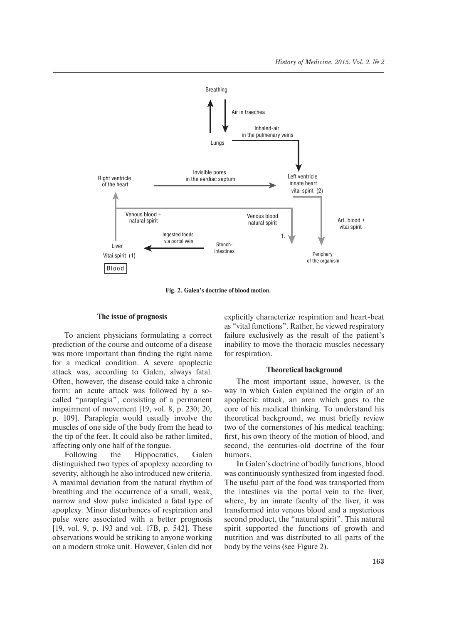

**Fig. 2. Galen's doctrine of blood motion.**

# **The issue of prognosis**

To ancient physicians formulating a correct prediction of the course and outcome of a disease was more important than finding the right name for a medical condition. A severe apoplectic attack was, according to Galen, always fatal. Often, however, the disease could take a chronic form: an acute attack was followed by a socalled "paraplegia", consisting of a permanent impairment of movement [19, vol. 8, p. 230; 20, p. 109]. Paraplegia would usually involve the muscles of one side of the body from the head to the tip of the feet. It could also be rather limited, affecting only one half of the tongue.

Following the Hippocratics, Galen distinguished two types of apoplexy according to severity, although he also introduced new criteria. A maximal deviation from the natural rhythm of breathing and the occurrence of a small, weak, narrow and slow pulse indicated a fatal type of apoplexy. Minor disturbances of respiration and pulse were associated with a better prognosis [19, vol. 9, p. 193 and vol. 17B, p. 542]. These observations would be striking to anyone working on a modern stroke unit. However, Galen did not

explicitly characterize respiration and heart-beat as "vital functions". Rather, he viewed respiratory failure exclusively as the result of the patient's inability to move the thoracic muscles necessary for respiration.

### **Theoretical background**

The most important issue, however, is the way in which Galen explained the origin of an apoplectic attack, an area which goes to the core of his medical thinking. To understand his theoretical background, we must briefly review two of the cornerstones of his medical teaching: first, his own theory of the motion of blood, and second, the centuries-old doctrine of the four humors.

In Galen's doctrine of bodily functions, blood was continuously synthesized from ingested food. The useful part of the food was transported from the intestines via the portal vein to the liver, where, by an innate faculty of the liver, it was transformed into venous blood and a mysterious second product, the "natural spirit". This natural spirit supported the functions of growth and nutrition and was distributed to all parts of the body by the veins (see Figure 2).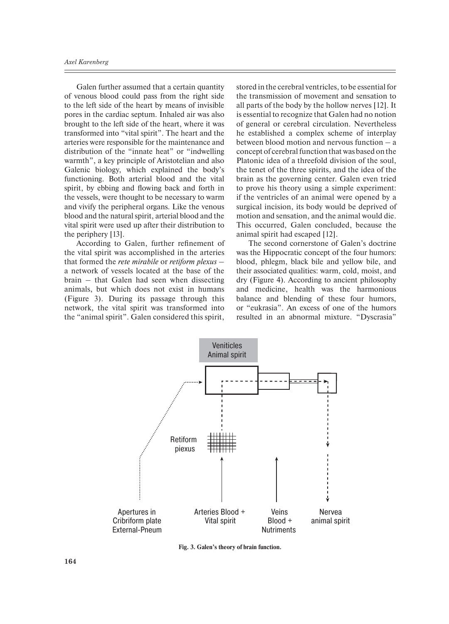Galen further assumed that a certain quantity of venous blood could pass from the right side to the left side of the heart by means of invisible pores in the cardiac septum. Inhaled air was also brought to the left side of the heart, where it was transformed into "vital spirit". The heart and the arteries were responsible for the maintenance and distribution of the "innate heat" or "indwelling warmth", a key principle of Aristotelian and also Galenic biology, which explained the body's functioning. Both arterial blood and the vital spirit, by ebbing and flowing back and forth in the vessels, were thought to be necessary to warm and vivify the peripheral organs. Like the venous blood and the natural spirit, arterial blood and the vital spirit were used up after their distribution to the periphery [13].

According to Galen, further refinement of the vital spirit was accomplished in the arteries that formed the *rete mirabile* or *retiform plexus* – a network of vessels located at the base of the brain – that Galen had seen when dissecting animals, but which does not exist in humans (Figure 3). During its passage through this network, the vital spirit was transformed into the "animal spirit". Galen considered this spirit,

stored in the cerebral ventricles, to be essential for the transmission of movement and sensation to all parts of the body by the hollow nerves [12]. It is essential to recognize that Galen had no notion of general or cerebral circulation. Nevertheless he established a complex scheme of interplay between blood motion and nervous function – a concept of cerebral function that was based on the Platonic idea of a threefold division of the soul, the tenet of the three spirits, and the idea of the brain as the governing center. Galen even tried to prove his theory using a simple experiment: if the ventricles of an animal were opened by a surgical incision, its body would be deprived of motion and sensation, and the animal would die. This occurred, Galen concluded, because the animal spirit had escaped [12].

The second cornerstone of Galen's doctrine was the Hippocratic concept of the four humors: blood, phlegm, black bile and yellow bile, and their associated qualities: warm, cold, moist, and dry (Figure 4). According to ancient philosophy and medicine, health was the harmonious balance and blending of these four humors, or "eukrasia". An excess of one of the humors resulted in an abnormal mixture. "Dyscrasia"



**Fig. 3. Galen's theory of brain function.**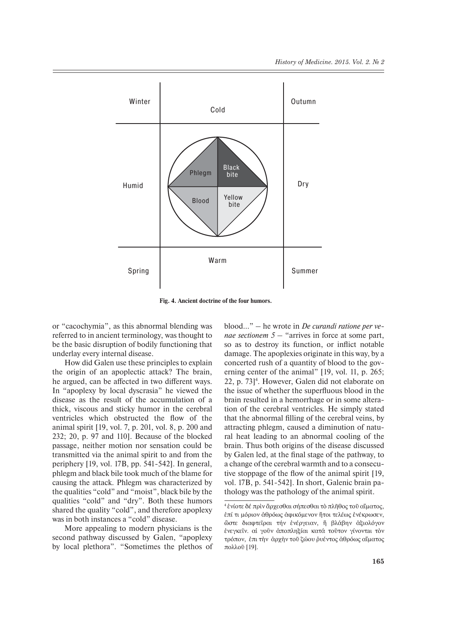

**Fig. 4. Ancient doctrine of the four humors.**

or "cacochymia", as this abnormal blending was referred to in ancient terminology, was thought to be the basic disruption of bodily functioning that underlay every internal disease.

How did Galen use these principles to explain the origin of an apoplectic attack? The brain, he argued, can be affected in two different ways. In "apoplexy by local dyscrasia" he viewed the disease as the result of the accumulation of a thick, viscous and sticky humor in the cerebral ventricles which obstructed the flow of the animal spirit [19, vol. 7, p. 201, vol. 8, p. 200 and 232; 20, p. 97 and 110]. Because of the blocked passage, neither motion nor sensation could be transmitted via the animal spirit to and from the periphery [19, vol. 17B, pp. 541-542]. In general, phlegm and black bile took much of the blame for causing the attack. Phlegm was characterized by the qualities "cold" and "moist", black bile by the qualities "cold" and "dry". Both these humors shared the quality "cold", and therefore apoplexy was in both instances a "cold" disease.

More appealing to modern physicians is the second pathway discussed by Galen, "apoplexy by local plethora". "Sometimes the plethos of blood…" – he wrote in *De curandi ratione per venae sectionem 5* – "arrives in force at some part, so as to destroy its function, or inflict notable damage. The apoplexies originate in this way, by a concerted rush of a quantity of blood to the governing center of the animal" [19, vol. 11, p. 265; 22, p. 73]4 . However, Galen did not elaborate on the issue of whether the superfluous blood in the brain resulted in a hemorrhage or in some alteration of the cerebral ventricles. He simply stated that the abnormal filling of the cerebral veins, by attracting phlegm, caused a diminution of natural heat leading to an abnormal cooling of the brain. Thus both origins of the disease discussed by Galen led, at the final stage of the pathway, to a change of the cerebral warmth and to a consecutive stoppage of the flow of the animal spirit  $[19, 19]$ vol. 17B, p. 541-542]. In short, Galenic brain pathology was the pathology of the animal spirit.

<sup>&</sup>lt;sup>4</sup> ένίοτε δέ πρὶν ἄρχεσθαι σήπεσθαι τὸ πλῆθος τοῦ αἴματος, επί τι μόριον άθρόως άφικόμενον ήτοι τελέως ενέκρωσεν, ὣστε διαφτεῖραι τήν ἐνέργειαν, ἤ βλάβην ἀξιολόγον ένεγκεῖν. αί γοῦν ἀποπληξίαι κατά τοῦτον γίνοντaι τὸν τρόπον, έπι την άρχην τοῦ ζώου ρυέντος άθρόως αίματος πολλοῦ [19].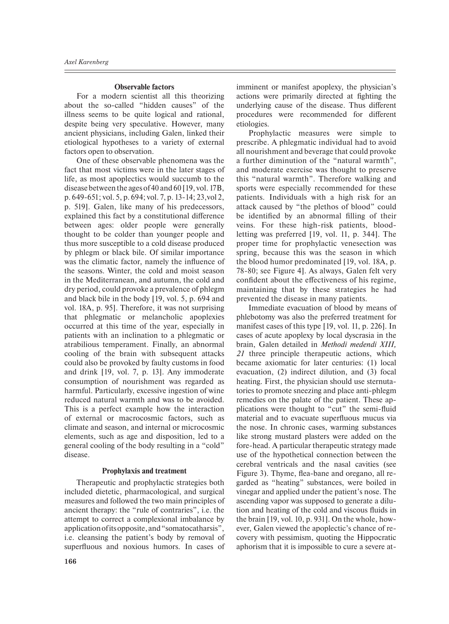### **Observable factors**

For a modern scientist all this theorizing about the so-called "hidden causes" of the illness seems to be quite logical and rational, despite being very speculative. However, many ancient physicians, including Galen, linked their etiological hypotheses to a variety of external factors open to observation.

One of these observable phenomena was the fact that most victims were in the later stages of life, as most apoplectics would succumb to the disease between the ages of 40 and 60 [19, vol. 17B, p. 649-651; vol. 5, p. 694; vol. 7, p. 13-14; 23,vol 2, p. 519]. Galen, like many of his predecessors, explained this fact by a constitutional difference between ages: older people were generally thought to be colder than younger people and thus more susceptible to a cold disease produced by phlegm or black bile. Of similar importance was the climatic factor, namely the influence of the seasons. Winter, the cold and moist season in the Mediterranean, and autumn, the cold and dry period, could provoke a prevalence of phlegm and black bile in the body [19, vol. 5, p. 694 and vol. 18A, p. 95]. Therefore, it was not surprising that phlegmatic or melancholic apoplexies occurred at this time of the year, especially in patients with an inclination to a phlegmatic or atrabilious temperament. Finally, an abnormal cooling of the brain with subsequent attacks could also be provoked by faulty customs in food and drink [19, vol. 7, p. 13]. Any immoderate consumption of nourishment was regarded as harmful. Particularly, excessive ingestion of wine reduced natural warmth and was to be avoided. This is a perfect example how the interaction of external or macrocosmic factors, such as climate and season, and internal or microcosmic elements, such as age and disposition, led to a general cooling of the body resulting in a "cold" disease.

## **Prophylaxis and treatment**

Therapeutic and prophylactic strategies both included dietetic, pharmacological, and surgical measures and followed the two main principles of ancient therapy: the "rule of contraries", i.e. the attempt to correct a complexional imbalance by application of its opposite, and "somatocatharsis", i.e. cleansing the patient's body by removal of superfluous and noxious humors. In cases of

imminent or manifest apoplexy, the physician's actions were primarily directed at fighting the underlying cause of the disease. Thus different procedures were recommended for different etiologies.

Prophylactic measures were simple to prescribe. A phlegmatic individual had to avoid all nourishment and beverage that could provoke a further diminution of the "natural warmth", and moderate exercise was thought to preserve this "natural warmth". Therefore walking and sports were especially recommended for these patients. Individuals with a high risk for an attack caused by "the plethos of blood" could be identified by an abnormal filling of their veins. For these high-risk patients, bloodletting was preferred [19, vol. 11, p. 344]. The proper time for prophylactic venesection was spring, because this was the season in which the blood humor predominated [19, vol. 18A, p. 78-80; see Figure 4]. As always, Galen felt very confident about the effectiveness of his regime, maintaining that by these strategies he had prevented the disease in many patients.

Immediate evacuation of blood by means of phlebotomy was also the preferred treatment for manifest cases of this type [19, vol. 11, p. 226]. In cases of acute apoplexy by local dyscrasia in the brain, Galen detailed in *Methodi medendi XIII, 21* three principle therapeutic actions, which became axiomatic for later centuries: (1) local evacuation, (2) indirect dilution, and (3) focal heating. First, the physician should use sternutatories to promote sneezing and place anti-phlegm remedies on the palate of the patient. These applications were thought to "cut" the semi-fluid material and to evacuate superfluous mucus via the nose. In chronic cases, warming substances like strong mustard plasters were added on the fore-head. A particular therapeutic strategy made use of the hypothetical connection between the cerebral ventricals and the nasal cavities (see Figure 3). Thyme, flea-bane and oregano, all regarded as "heating" substances, were boiled in vinegar and applied under the patient's nose. The ascending vapor was supposed to generate a dilution and heating of the cold and viscous fluids in the brain [19, vol. 10, p. 931]. On the whole, however, Galen viewed the apoplectic's chance of recovery with pessimism, quoting the Hippocratic aphorism that it is impossible to cure a severe at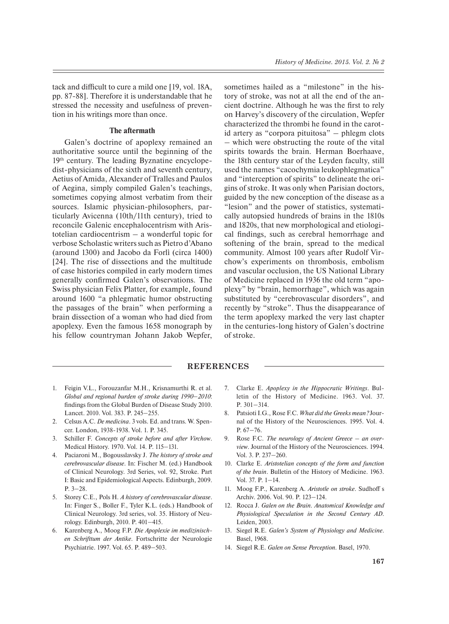tack and difficult to cure a mild one [19, vol. 18A, pp. 87-88]. Therefore it is understandable that he stressed the necessity and usefulness of prevention in his writings more than once.

### **The aftermath**

Galen's doctrine of apoplexy remained an authoritative source until the beginning of the 19th century. The leading Byznatine encyclopedist-physicians of the sixth and seventh century, Aetius of Amida, Alexander of Tralles and Paulos of Aegina, simply compiled Galen's teachings, sometimes copying almost verbatim from their sources. Islamic physician-philosophers, particularly Avicenna (10th/11th century), tried to reconcile Galenic encephalocentrism with Aristotelian cardiocentrism – a wonderful topic for verbose Scholastic writers such as Pietro d'Abano (around 1300) and Jacobo da Forlì (circa 1400) [24]. The rise of dissections and the multitude of case histories compiled in early modern times generally confirmed Galen's observations. The Swiss physician Felix Platter, for example, found around 1600 "a phlegmatic humor obstructing the passages of the brain" when performing a brain dissection of a woman who had died from apoplexy. Even the famous 1658 monograph by his fellow countryman Johann Jakob Wepfer, sometimes hailed as a "milestone" in the history of stroke, was not at all the end of the ancient doctrine. Although he was the first to rely on Harvey's discovery of the circulation, Wepfer characterized the thrombi he found in the carotid artery as "corpora pituitosa" – phlegm clots – which were obstructing the route of the vital spirits towards the brain. Herman Boerhaave, the 18th century star of the Leyden faculty, still used the names "cacochymia leukophlegmatica" and "interception of spirits" to delineate the origins of stroke. It was only when Parisian doctors, guided by the new conception of the disease as a "lesion" and the power of statistics, systematically autopsied hundreds of brains in the 1810s and 1820s, that new morphological and etiological findings, such as cerebral hemorrhage and softening of the brain, spread to the medical community. Almost 100 years after Rudolf Virchow's experiments on thrombosis, embolism and vascular occlusion, the US National Library of Medicine replaced in 1936 the old term "apoplexy" by "brain, hemorrhage", which was again substituted by "cerebrovascular disorders", and recently by "stroke". Thus the disappearance of the term apoplexy marked the very last chapter in the centuries-long history of Galen's doctrine of stroke.

# **REFERENCES**

- 1. Feigin V.L., Forouzanfar M.H., Krisnamurthi R. et al. *Global and regional burden of stroke during 1990‒2010*: findings from the Global Burden of Disease Study 2010. Lancet. 2010. Vol. 383. P. 245-255.
- 2. Celsus A.C. *De medicina*. 3 vols. Ed. and trans. W. Spencer. London, 1938-1938. Vol. 1. P. 345.
- 3. Schiller F. *Concepts of stroke before and after Virchow*. Medical History. 1970. Vol. 14. P. 115-131.
- 4. Paciaroni M., Bogousslavsky J. *The history of stroke and cerebrovascular disease*. In: Fischer M. (ed.) Handbook of Clinical Neurology. 3rd Series, vol. 92, Stroke. Part I: Basic and Epidemiological Aspects. Edinburgh, 2009.  $P. 3 - 28.$
- 5. Storey C.E., Pols H. *A history of cerebrovascular disease*. In: Finger S., Boller F., Tyler K.L. (eds.) Handbook of Clinical Neurology. 3rd series, vol. 35. History of Neurology. Edinburgh, 2010. P. 401‒415.
- 6. Karenberg A., Moog F.P. *Die Apoplexie im medizinischen Schrifttum der Antike*. Fortschritte der Neurologie Psychiatrie. 1997. Vol. 65. P. 489-503.
- 7. Clarke E. *Apoplexy in the Hippocratic Writings*. Bulletin of the History of Medicine. 1963. Vol. 37. P. 301‒314.
- 8. Patsioti I.G., Rose F.C. *What did the Greeks mean?* Journal of the History of the Neurosciences. 1995. Vol. 4. P. 67-76.
- 9. Rose F.C. *The neurology of Ancient Greece an overview*. Journal of the History of the Neurosciences. 1994. Vol. 3. P. 237-260.
- 10. Clarke E. *Aristotelian concepts of the form and function of the brain*. Bulletin of the History of Medicine. 1963. Vol. 37. P. 1-14.
- 11. Moog F.P., Karenberg A. *Aristotle on stroke*. Sudhoff s Archiv. 2006. Vol. 90. P. 123-124.
- 12. Rocca J. *Galen on the Brain. Anatomical Knowledge and Physiological Speculation in the Second Century AD*. Leiden, 2003.
- 13. Siegel R.E. *Galen's System of Physiology and Medicine*. Basel, 1968.
- 14. Siegel R.E. *Galen on Sense Perception*. Basel, 1970.